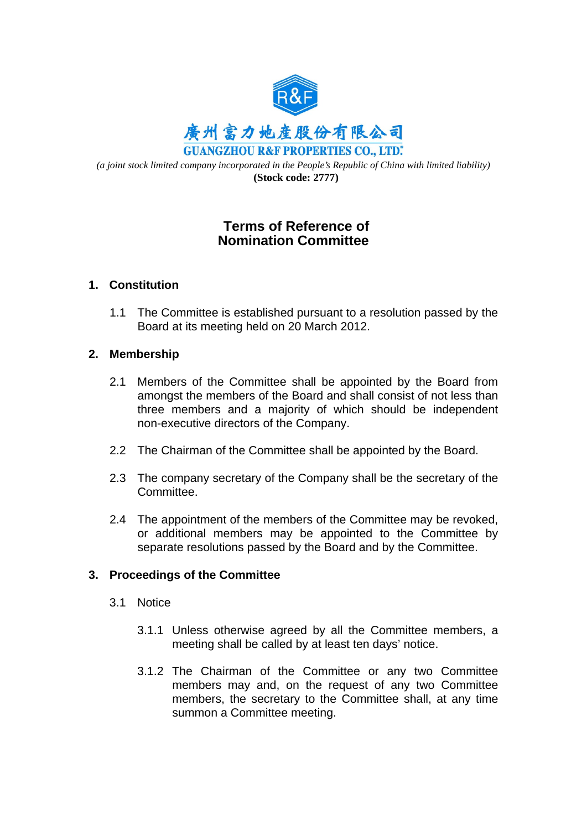

*(a joint stock limited company incorporated in the People's Republic of China with limited liability)*   **(Stock code: 2777)**

# **Terms of Reference of Nomination Committee**

## **1. Constitution**

1.1 The Committee is established pursuant to a resolution passed by the Board at its meeting held on 20 March 2012.

## **2. Membership**

- 2.1 Members of the Committee shall be appointed by the Board from amongst the members of the Board and shall consist of not less than three members and a majority of which should be independent non-executive directors of the Company.
- 2.2 The Chairman of the Committee shall be appointed by the Board.
- 2.3 The company secretary of the Company shall be the secretary of the Committee.
- 2.4 The appointment of the members of the Committee may be revoked, or additional members may be appointed to the Committee by separate resolutions passed by the Board and by the Committee.

## **3. Proceedings of the Committee**

- 3.1 Notice
	- 3.1.1 Unless otherwise agreed by all the Committee members, a meeting shall be called by at least ten days' notice.
	- 3.1.2 The Chairman of the Committee or any two Committee members may and, on the request of any two Committee members, the secretary to the Committee shall, at any time summon a Committee meeting.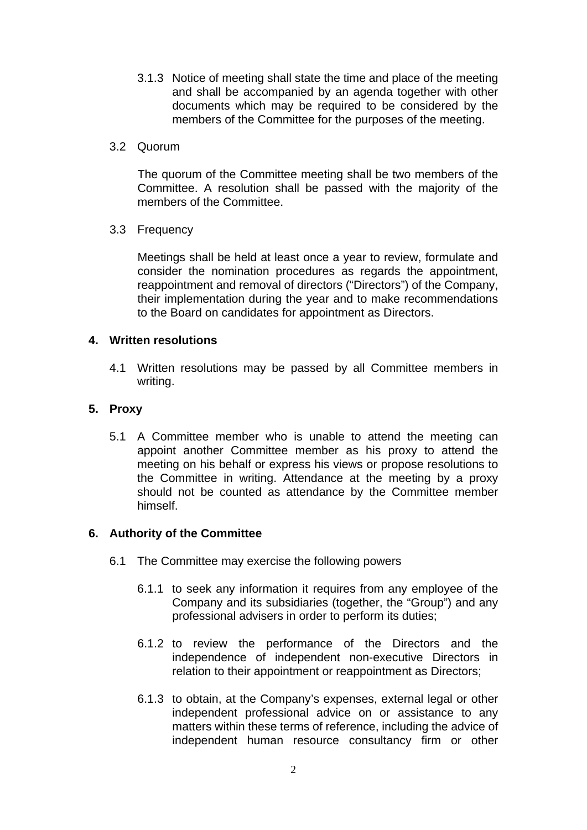- 3.1.3 Notice of meeting shall state the time and place of the meeting and shall be accompanied by an agenda together with other documents which may be required to be considered by the members of the Committee for the purposes of the meeting.
- 3.2 Quorum

The quorum of the Committee meeting shall be two members of the Committee. A resolution shall be passed with the majority of the members of the Committee.

3.3 Frequency

Meetings shall be held at least once a year to review, formulate and consider the nomination procedures as regards the appointment, reappointment and removal of directors ("Directors") of the Company, their implementation during the year and to make recommendations to the Board on candidates for appointment as Directors.

## **4. Written resolutions**

4.1 Written resolutions may be passed by all Committee members in writing.

## **5. Proxy**

5.1 A Committee member who is unable to attend the meeting can appoint another Committee member as his proxy to attend the meeting on his behalf or express his views or propose resolutions to the Committee in writing. Attendance at the meeting by a proxy should not be counted as attendance by the Committee member himself.

## **6. Authority of the Committee**

- 6.1 The Committee may exercise the following powers
	- 6.1.1 to seek any information it requires from any employee of the Company and its subsidiaries (together, the "Group") and any professional advisers in order to perform its duties;
	- 6.1.2 to review the performance of the Directors and the independence of independent non-executive Directors in relation to their appointment or reappointment as Directors;
	- 6.1.3 to obtain, at the Company's expenses, external legal or other independent professional advice on or assistance to any matters within these terms of reference, including the advice of independent human resource consultancy firm or other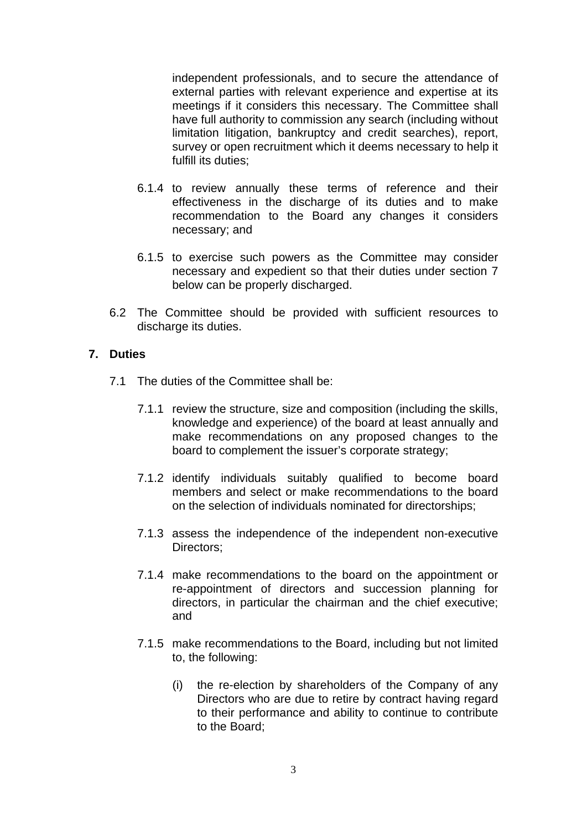independent professionals, and to secure the attendance of external parties with relevant experience and expertise at its meetings if it considers this necessary. The Committee shall have full authority to commission any search (including without limitation litigation, bankruptcy and credit searches), report, survey or open recruitment which it deems necessary to help it fulfill its duties;

- 6.1.4 to review annually these terms of reference and their effectiveness in the discharge of its duties and to make recommendation to the Board any changes it considers necessary; and
- 6.1.5 to exercise such powers as the Committee may consider necessary and expedient so that their duties under section 7 below can be properly discharged.
- 6.2 The Committee should be provided with sufficient resources to discharge its duties.

## **7. Duties**

- 7.1 The duties of the Committee shall be:
	- 7.1.1 review the structure, size and composition (including the skills, knowledge and experience) of the board at least annually and make recommendations on any proposed changes to the board to complement the issuer's corporate strategy;
	- 7.1.2 identify individuals suitably qualified to become board members and select or make recommendations to the board on the selection of individuals nominated for directorships;
	- 7.1.3 assess the independence of the independent non-executive Directors;
	- 7.1.4 make recommendations to the board on the appointment or re-appointment of directors and succession planning for directors, in particular the chairman and the chief executive; and
	- 7.1.5 make recommendations to the Board, including but not limited to, the following:
		- (i) the re-election by shareholders of the Company of any Directors who are due to retire by contract having regard to their performance and ability to continue to contribute to the Board;